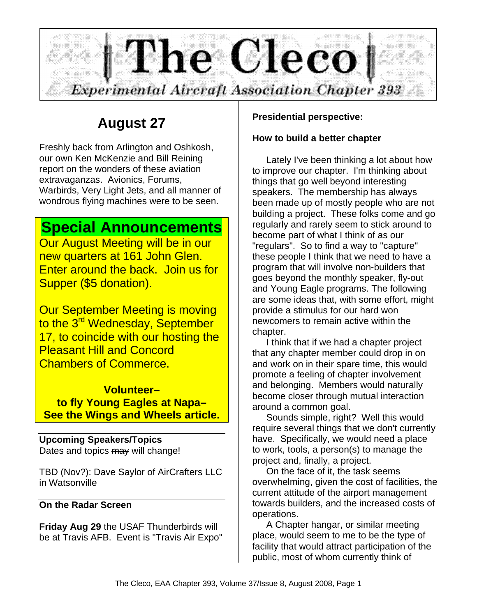

# **August 27**

Freshly back from Arlington and Oshkosh, our own Ken McKenzie and Bill Reining report on the wonders of these aviation extravaganzas. Avionics, Forums, Warbirds, Very Light Jets, and all manner of wondrous flying machines were to be seen.

# **Special Announcements**

Our August Meeting will be in our new quarters at 161 John Glen. Enter around the back. Join us for Supper (\$5 donation).

Our September Meeting is moving to the 3<sup>rd</sup> Wednesday, September 17, to coincide with our hosting the Pleasant Hill and Concord Chambers of Commerce.

**Volunteer– to fly Young Eagles at Napa– See the Wings and Wheels article.**

**Upcoming Speakers/Topics** Dates and topics may will change!

TBD (Nov?): Dave Saylor of AirCrafters LLC in Watsonville

## **On the Radar Screen**

**Friday Aug 29** the USAF Thunderbirds will be at Travis AFB. Event is "Travis Air Expo"

# **Presidential perspective:**

## **How to build a better chapter**

Lately I've been thinking a lot about how to improve our chapter. I'm thinking about things that go well beyond interesting speakers. The membership has always been made up of mostly people who are not building a project. These folks come and go regularly and rarely seem to stick around to become part of what I think of as our "regulars". So to find a way to "capture" these people I think that we need to have a program that will involve non-builders that goes beyond the monthly speaker, fly-out and Young Eagle programs. The following are some ideas that, with some effort, might provide a stimulus for our hard won newcomers to remain active within the chapter.

I think that if we had a chapter project that any chapter member could drop in on and work on in their spare time, this would promote a feeling of chapter involvement and belonging. Members would naturally become closer through mutual interaction around a common goal.

Sounds simple, right? Well this would require several things that we don't currently have. Specifically, we would need a place to work, tools, a person(s) to manage the project and, finally, a project.

On the face of it, the task seems overwhelming, given the cost of facilities, the current attitude of the airport management towards builders, and the increased costs of operations.

A Chapter hangar, or similar meeting place, would seem to me to be the type of facility that would attract participation of the public, most of whom currently think of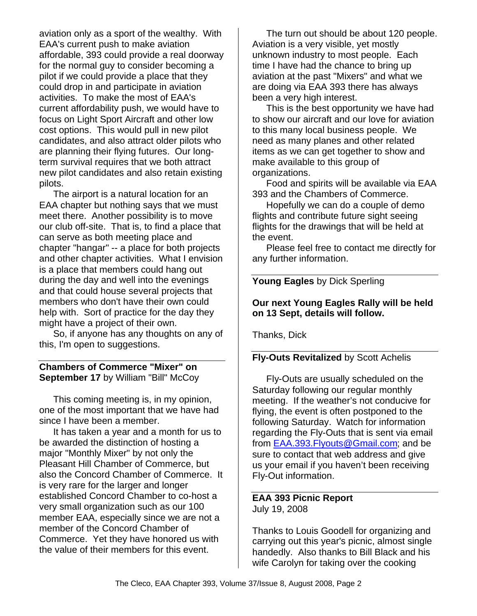aviation only as a sport of the wealthy. With EAA's current push to make aviation affordable, 393 could provide a real doorway for the normal guy to consider becoming a pilot if we could provide a place that they could drop in and participate in aviation activities. To make the most of EAA's current affordability push, we would have to focus on Light Sport Aircraft and other low cost options. This would pull in new pilot candidates, and also attract older pilots who are planning their flying futures. Our longterm survival requires that we both attract new pilot candidates and also retain existing pilots.

The airport is a natural location for an EAA chapter but nothing says that we must meet there. Another possibility is to move our club off-site. That is, to find a place that can serve as both meeting place and chapter "hangar" -- a place for both projects and other chapter activities. What I envision is a place that members could hang out during the day and well into the evenings and that could house several projects that members who don't have their own could help with. Sort of practice for the day they might have a project of their own.

So, if anyone has any thoughts on any of this, I'm open to suggestions.

**Chambers of Commerce "Mixer" on September 17** by William "Bill" McCoy

This coming meeting is, in my opinion, one of the most important that we have had since I have been a member.

It has taken a year and a month for us to be awarded the distinction of hosting a major "Monthly Mixer" by not only the Pleasant Hill Chamber of Commerce, but also the Concord Chamber of Commerce. It is very rare for the larger and longer established Concord Chamber to co-host a very small organization such as our 100 member EAA, especially since we are not a member of the Concord Chamber of Commerce. Yet they have honored us with the value of their members for this event.

The turn out should be about 120 people. Aviation is a very visible, yet mostly unknown industry to most people. Each time I have had the chance to bring up aviation at the past "Mixers" and what we are doing via EAA 393 there has always been a very high interest.

This is the best opportunity we have had to show our aircraft and our love for aviation to this many local business people. We need as many planes and other related items as we can get together to show and make available to this group of organizations.

Food and spirits will be available via EAA 393 and the Chambers of Commerce.

Hopefully we can do a couple of demo flights and contribute future sight seeing flights for the drawings that will be held at the event.

Please feel free to contact me directly for any further information.

**Young Eagles** by Dick Sperling

### **Our next Young Eagles Rally will be held on 13 Sept, details will follow.**

Thanks, Dick

## **Fly-Outs Revitalized** by Scott Achelis

Fly-Outs are usually scheduled on the Saturday following our regular monthly meeting. If the weather's not conducive for flying, the event is often postponed to the following Saturday. Watch for information regarding the Fly-Outs that is sent via email from EAA.393.Flyouts@Gmail.com; and be sure to contact that web address and give us your email if you haven't been receiving Fly-Out information.

#### **EAA 393 Picnic Report** July 19, 2008

Thanks to Louis Goodell for organizing and carrying out this year's picnic, almost single handedly. Also thanks to Bill Black and his wife Carolyn for taking over the cooking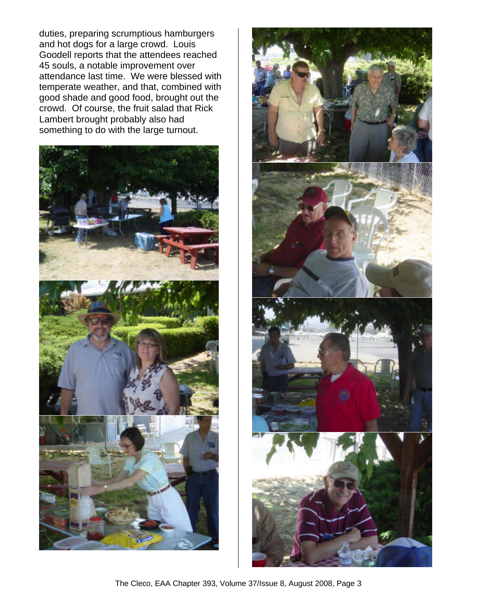duties, preparing scrumptious hamburgers and hot dogs for a large crowd. Louis Goodell reports that the attendees reached 45 souls, a notable improvement over attendance last time. We were blessed with temperate weather, and that, combined with good shade and good food, brought out the crowd. Of course, the fruit salad that Rick Lambert brought probably also had something to do with the large turnout.





The Cleco, EAA Chapter 393, Volume 37/Issue 8, August 2008, Page 3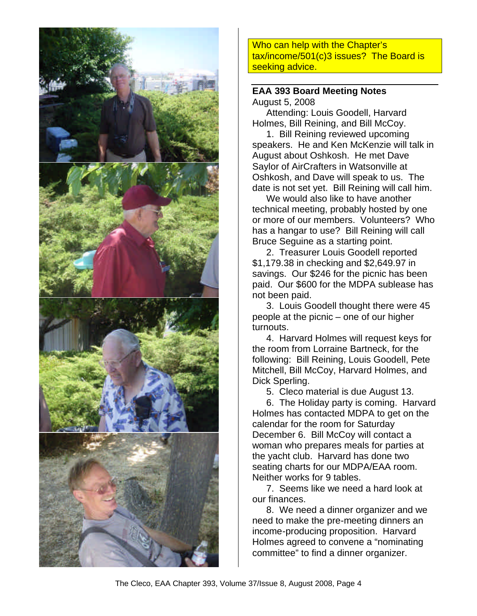

Who can help with the Chapter's tax/income/501(c)3 issues? The Board is seeking advice.

#### **EAA 393 Board Meeting Notes** August 5, 2008

Attending: Louis Goodell, Harvard Holmes, Bill Reining, and Bill McCoy.

1. Bill Reining reviewed upcoming speakers. He and Ken McKenzie will talk in August about Oshkosh. He met Dave Saylor of AirCrafters in Watsonville at Oshkosh, and Dave will speak to us. The date is not set yet. Bill Reining will call him.

We would also like to have another technical meeting, probably hosted by one or more of our members. Volunteers? Who has a hangar to use? Bill Reining will call Bruce Seguine as a starting point.

2. Treasurer Louis Goodell reported \$1,179.38 in checking and \$2,649.97 in savings. Our \$246 for the picnic has been paid. Our \$600 for the MDPA sublease has not been paid.

3. Louis Goodell thought there were 45 people at the picnic – one of our higher turnouts.

4. Harvard Holmes will request keys for the room from Lorraine Bartneck, for the following: Bill Reining, Louis Goodell, Pete Mitchell, Bill McCoy, Harvard Holmes, and Dick Sperling.

5. Cleco material is due August 13.

6. The Holiday party is coming. Harvard Holmes has contacted MDPA to get on the calendar for the room for Saturday December 6. Bill McCoy will contact a woman who prepares meals for parties at the yacht club. Harvard has done two seating charts for our MDPA/EAA room. Neither works for 9 tables.

7. Seems like we need a hard look at our finances.

8. We need a dinner organizer and we need to make the pre-meeting dinners an income-producing proposition. Harvard Holmes agreed to convene a "nominating committee" to find a dinner organizer.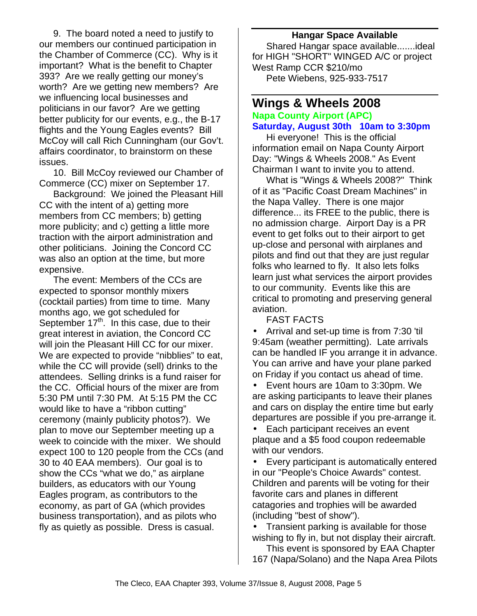9. The board noted a need to justify to our members our continued participation in the Chamber of Commerce (CC). Why is it important? What is the benefit to Chapter 393? Are we really getting our money's worth? Are we getting new members? Are we influencing local businesses and politicians in our favor? Are we getting better publicity for our events, e.g., the B-17 flights and the Young Eagles events? Bill McCoy will call Rich Cunningham (our Gov't. affairs coordinator, to brainstorm on these issues.

10. Bill McCoy reviewed our Chamber of Commerce (CC) mixer on September 17.

Background: We joined the Pleasant Hill CC with the intent of a) getting more members from CC members; b) getting more publicity; and c) getting a little more traction with the airport administration and other politicians. Joining the Concord CC was also an option at the time, but more expensive.

The event: Members of the CCs are expected to sponsor monthly mixers (cocktail parties) from time to time. Many months ago, we got scheduled for September  $17<sup>th</sup>$ . In this case, due to their great interest in aviation, the Concord CC will join the Pleasant Hill CC for our mixer. We are expected to provide "nibblies" to eat, while the CC will provide (sell) drinks to the attendees. Selling drinks is a fund raiser for the CC. Official hours of the mixer are from 5:30 PM until 7:30 PM. At 5:15 PM the CC would like to have a "ribbon cutting" ceremony (mainly publicity photos?). We plan to move our September meeting up a week to coincide with the mixer. We should expect 100 to 120 people from the CCs (and 30 to 40 EAA members). Our goal is to show the CCs "what we do," as airplane builders, as educators with our Young Eagles program, as contributors to the economy, as part of GA (which provides business transportation), and as pilots who fly as quietly as possible. Dress is casual.

#### **Hangar Space Available**

Shared Hangar space available.......ideal for HIGH "SHORT" WINGED A/C or project West Ramp CCR \$210/mo Pete Wiebens, 925-933-7517

# **Wings & Wheels 2008**

**Napa County Airport (APC) Saturday, August 30th 10am to 3:30pm**

Hi everyone! This is the official information email on Napa County Airport Day: "Wings & Wheels 2008." As Event Chairman I want to invite you to attend.

What is "Wings & Wheels 2008?" Think of it as "Pacific Coast Dream Machines" in the Napa Valley. There is one major difference... its FREE to the public, there is no admission charge. Airport Day is a PR event to get folks out to their airport to get up-close and personal with airplanes and pilots and find out that they are just regular folks who learned to fly. It also lets folks learn just what services the airport provides to our community. Events like this are critical to promoting and preserving general aviation.

FAST FACTS

• Arrival and set-up time is from 7:30 'til 9:45am (weather permitting). Late arrivals can be handled IF you arrange it in advance. You can arrive and have your plane parked on Friday if you contact us ahead of time.

• Event hours are 10am to 3:30pm. We are asking participants to leave their planes and cars on display the entire time but early departures are possible if you pre-arrange it.

• Each participant receives an event plaque and a \$5 food coupon redeemable with our vendors.

• Every participant is automatically entered in our "People's Choice Awards" contest. Children and parents will be voting for their favorite cars and planes in different catagories and trophies will be awarded (including "best of show").

• Transient parking is available for those wishing to fly in, but not display their aircraft.

This event is sponsored by EAA Chapter 167 (Napa/Solano) and the Napa Area Pilots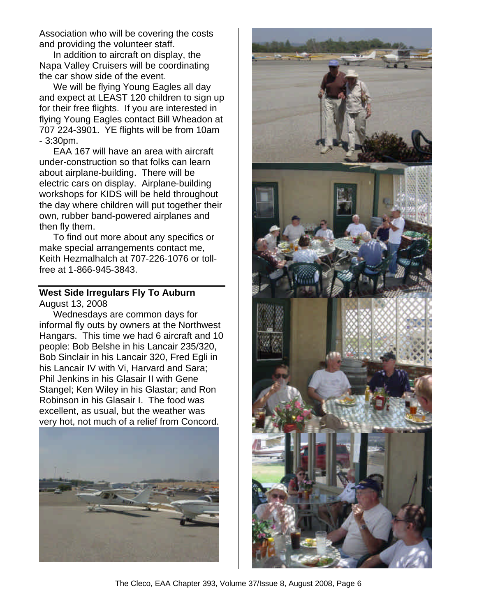Association who will be covering the costs and providing the volunteer staff.

In addition to aircraft on display, the Napa Valley Cruisers will be coordinating the car show side of the event.

We will be flying Young Eagles all day and expect at LEAST 120 children to sign up for their free flights. If you are interested in flying Young Eagles contact Bill Wheadon at 707 224-3901. YE flights will be from 10am - 3:30pm.

EAA 167 will have an area with aircraft under-construction so that folks can learn about airplane-building. There will be electric cars on display. Airplane-building workshops for KIDS will be held throughout the day where children will put together their own, rubber band-powered airplanes and then fly them.

To find out more about any specifics or make special arrangements contact me, Keith Hezmalhalch at 707-226-1076 or tollfree at 1-866-945-3843.

# **West Side Irregulars Fly To Auburn**

August 13, 2008

Wednesdays are common days for informal fly outs by owners at the Northwest Hangars. This time we had 6 aircraft and 10 people: Bob Belshe in his Lancair 235/320, Bob Sinclair in his Lancair 320, Fred Egli in his Lancair IV with Vi, Harvard and Sara; Phil Jenkins in his Glasair II with Gene Stangel; Ken Wiley in his Glastar; and Ron Robinson in his Glasair I. The food was excellent, as usual, but the weather was very hot, not much of a relief from Concord.





The Cleco, EAA Chapter 393, Volume 37/Issue 8, August 2008, Page 6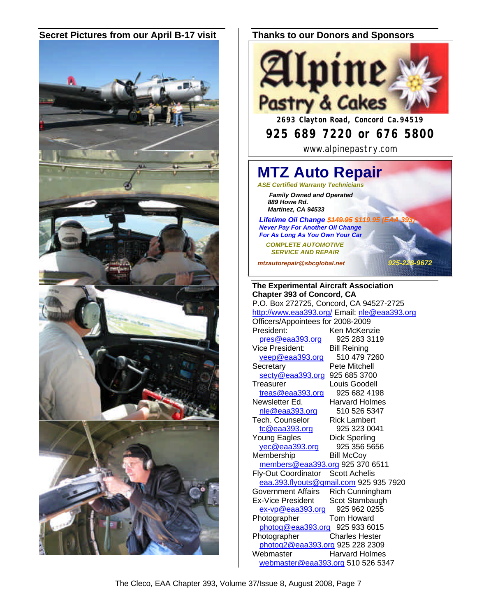#### **Secret Pictures from our April B-17 visit Thanks to our Donors and Sponsors**





# **925 689 7220 or 676 5800**

www.alpinepastry.com

# **MTZ Auto Repair** *ASE Certified Warranty Technicians*

 *Family Owned and Operated 889 Howe Rd. Martinez, CA 94533*

**Lifetime Oil Change \$449.95 \$119.95 (E**  *Never Pay For Another Oil Change For As Long As You Own Your Car*

 *COMPLETE AUTOMOTIVE SERVICE AND REPAIR*

*mtzautorepair@sbcglobal.net 925-228-9672*

**The Experimental Aircraft Association Chapter 393 of Concord, CA** P.O. Box 272725, Concord, CA 94527-2725 http://www.eaa393.org/ Email: nle@eaa393.org Officers/Appointees for 2008-2009 President: Ken McKenzie pres@eaa393.org 925 283 3119 Vice President: Bill Reining<br>
veep@eaa393.org 510 479 7260  $veep@eaa393.org$ Secretary **Pete Mitchell** secty@eaa393.org 925 685 3700 Treasurer Louis Goodell treas@eaa393.org 925 682 4198 Newsletter Ed. Harvard Holmes nle@eaa393.org 510 526 5347 Tech. Counselor Rick Lambert tc@eaa393.org 925 323 0041 Young Eagles Dick Sperling yec@eaa393.org 925 356 5656 Membership Bill McCoy members@eaa393.org 925 370 6511 Fly-Out Coordinator Scott Achelis eaa.393.flyouts@gmail.com 925 935 7920 Government Affairs Rich Cunningham Ex-Vice President Scot Stambaugh ex-vp@eaa393.org 925 962 0255 Photographer Tom Howard photog@eaa393.org 925 933 6015 Photographer Charles Hester photog2@eaa393.org 925 228 2309 Webmaster Harvard Holmes webmaster@eaa393.org 510 526 5347